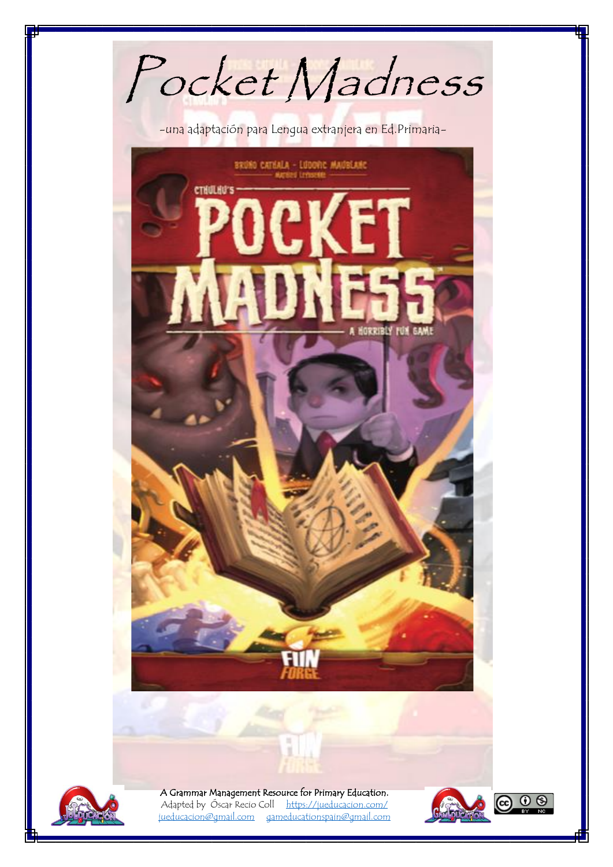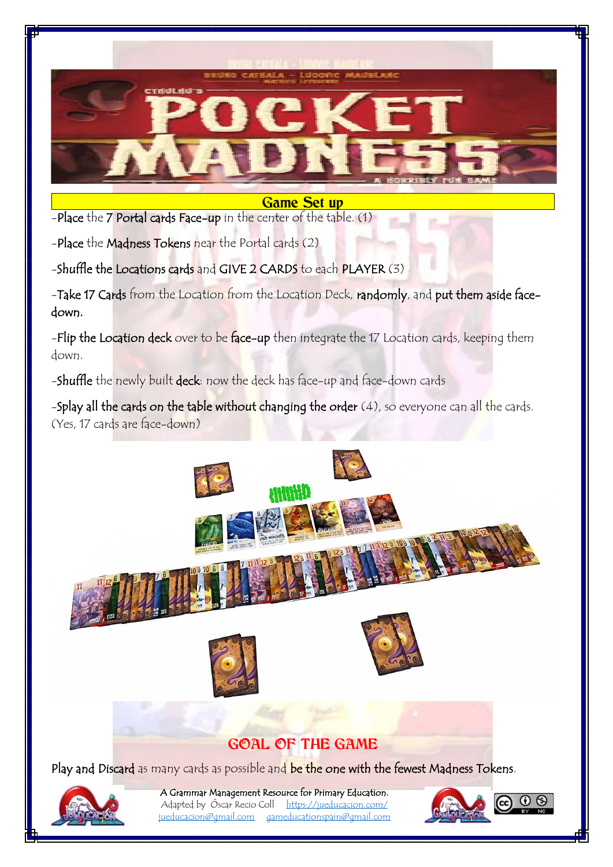

## **Game Set up**

-Place the 7 Portal cards Face-up in the center of the table. (1)

-Place the Madness Tokens near the Portal cards (2)

-Shuffle the Locations cards and GIVE 2 CARDS to each PLAYER (3)

-Take 17 Cards from the Location from the Location Deck, randomly, and put them aside facedown.

-Flip the Location deck over to be face-up then integrate the 17 Location cards, keeping them down.

-Shuffle the newly built deck: now the deck has face-up and face-down cards

-Splay all the cards on the table without changing the order  $(4)$ , so everyone can all the cards. (Yes, 17 cards are face-down)



## **GOAL OF THE GAME**

Play and Discard as many cards as possible and be the one with the fewest Madness Tokens.



A Grammar Management Resource for Primary Education. Adapted by Óscar Recio Coll <https://jueducacion.com/>

[jueducacion@gmail.com](mailto:jueducacion@gmail.com) [gameducationspain@gmail.com](mailto:gameducationspain@gmail.com)